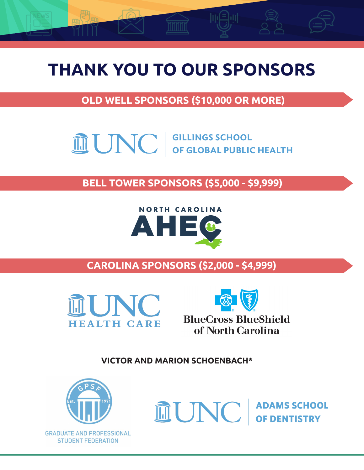# **THANK YOU TO OUR SPONSORS**

**OLD WELL SPONSORS (\$10,000 OR MORE)**

**THE UNC GILLINGS SCHOOL** 

**OLD WELL SPONSORS (\$10,000 OR MORE) BELL TOWER SPONSORS (\$5,000 - \$9,999)**



**CAROLINA SPONSORS (\$2,000 - \$4,999)**





of North Carolina

**VICTOR AND MARION SCHOENBACH\***



**ANONYMOUS**